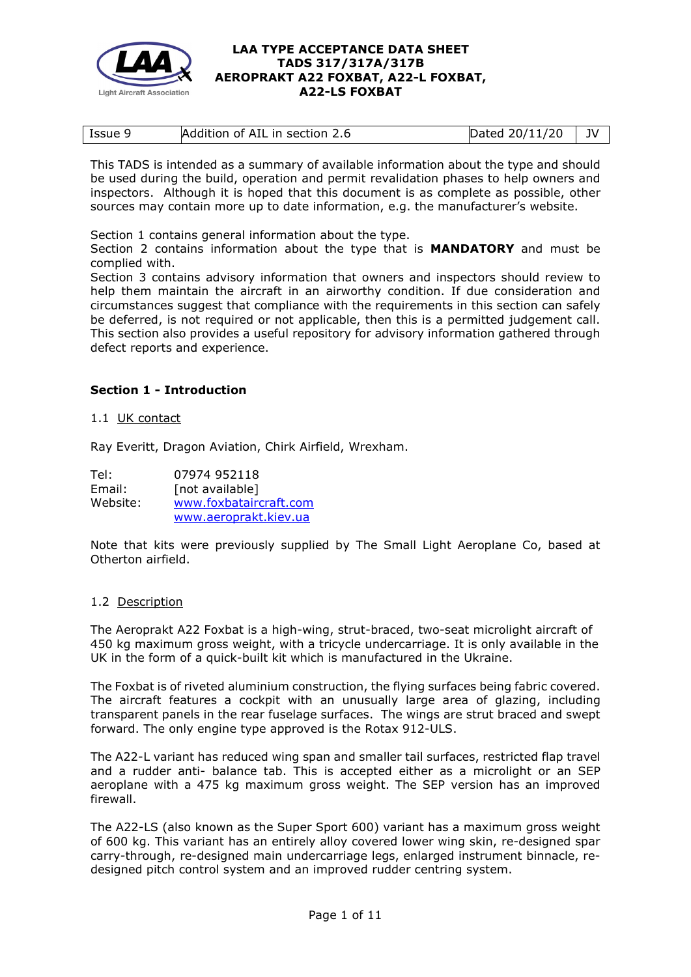

| Issue 9 | Addition of AIL in section 2.6 | Dated $20/11/20$   JV |  |
|---------|--------------------------------|-----------------------|--|

This TADS is intended as a summary of available information about the type and should be used during the build, operation and permit revalidation phases to help owners and inspectors. Although it is hoped that this document is as complete as possible, other sources may contain more up to date information, e.g. the manufacturer's website.

Section 1 contains general information about the type.

Section 2 contains information about the type that is **MANDATORY** and must be complied with.

Section 3 contains advisory information that owners and inspectors should review to help them maintain the aircraft in an airworthy condition. If due consideration and circumstances suggest that compliance with the requirements in this section can safely be deferred, is not required or not applicable, then this is a permitted judgement call. This section also provides a useful repository for advisory information gathered through defect reports and experience.

## **Section 1 - Introduction**

## 1.1 UK contact

Ray Everitt, Dragon Aviation, Chirk Airfield, Wrexham.

Tel: 07974 952118 Email: [not available] Website: [www.foxbataircraft.com](http://www.foxbataircraft.com/) [www.aeroprakt.kiev.ua](http://www.aeroprakt.kiev.ua/)

Note that kits were previously supplied by The Small Light Aeroplane Co, based at Otherton airfield.

## 1.2 Description

The Aeroprakt A22 Foxbat is a high-wing, strut-braced, two-seat microlight aircraft of 450 kg maximum gross weight, with a tricycle undercarriage. It is only available in the UK in the form of a quick-built kit which is manufactured in the Ukraine.

The Foxbat is of riveted aluminium construction, the flying surfaces being fabric covered. The aircraft features a cockpit with an unusually large area of glazing, including transparent panels in the rear fuselage surfaces. The wings are strut braced and swept forward. The only engine type approved is the Rotax 912-ULS.

The A22-L variant has reduced wing span and smaller tail surfaces, restricted flap travel and a rudder anti- balance tab. This is accepted either as a microlight or an SEP aeroplane with a 475 kg maximum gross weight. The SEP version has an improved firewall.

The A22-LS (also known as the Super Sport 600) variant has a maximum gross weight of 600 kg. This variant has an entirely alloy covered lower wing skin, re-designed spar carry-through, re-designed main undercarriage legs, enlarged instrument binnacle, redesigned pitch control system and an improved rudder centring system.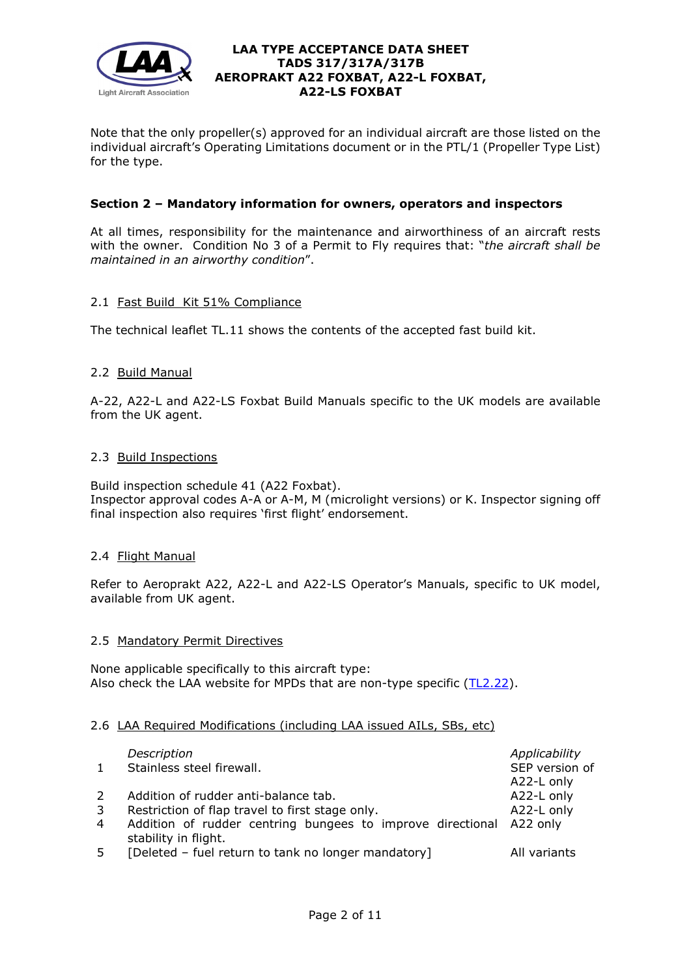

Note that the only propeller(s) approved for an individual aircraft are those listed on the individual aircraft's Operating Limitations document or in the PTL/1 (Propeller Type List) for the type.

# **Section 2 – Mandatory information for owners, operators and inspectors**

At all times, responsibility for the maintenance and airworthiness of an aircraft rests with the owner. Condition No 3 of a Permit to Fly requires that: "*the aircraft shall be maintained in an airworthy condition*".

## 2.1 Fast Build Kit 51% Compliance

The technical leaflet TL.11 shows the contents of the accepted fast build kit.

## 2.2 Build Manual

A-22, A22-L and A22-LS Foxbat Build Manuals specific to the UK models are available from the UK agent.

## 2.3 Build Inspections

Build inspection schedule 41 (A22 Foxbat). Inspector approval codes A-A or A-M, M (microlight versions) or K. Inspector signing off final inspection also requires 'first flight' endorsement.

## 2.4 Flight Manual

Refer to Aeroprakt A22, A22-L and A22-LS Operator's Manuals, specific to UK model, available from UK agent.

## 2.5 Mandatory Permit Directives

None applicable specifically to this aircraft type: Also check the LAA website for MPDs that are non-type specific [\(TL2.22\)](http://www.lightaircraftassociation.co.uk/engineering/TechnicalLeaflets/Operating%20An%20Aircraft/TL%202.22%20non-type%20specific%20MPDs.pdf).

## 2.6 LAA Required Modifications (including LAA issued AILs, SBs, etc)

| $\mathbf{1}$ | Description<br>Stainless steel firewall.                                                    | Applicability<br>SEP version of<br>A22-L only |
|--------------|---------------------------------------------------------------------------------------------|-----------------------------------------------|
| 2            | Addition of rudder anti-balance tab.                                                        | A22-L only                                    |
| 3            | Restriction of flap travel to first stage only.                                             | A22-L only                                    |
| 4            | Addition of rudder centring bungees to improve directional A22 only<br>stability in flight. |                                               |
| 5            | [Deleted - fuel return to tank no longer mandatory]                                         | All variants                                  |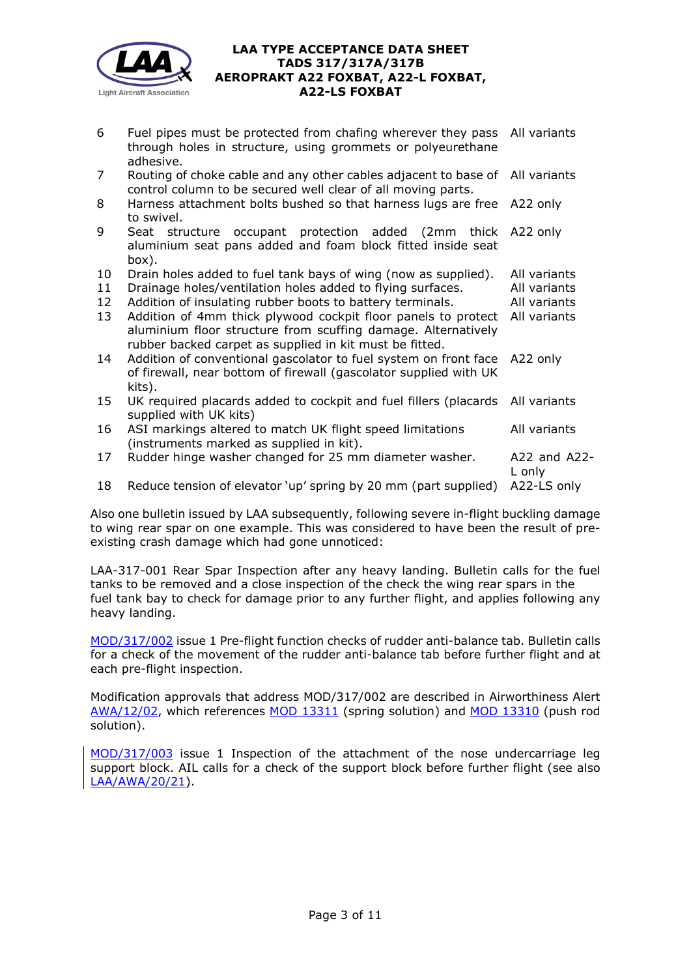

| 6              | Fuel pipes must be protected from chafing wherever they pass All variants<br>through holes in structure, using grommets or polyeurethane<br>adhesive.                                     |                             |
|----------------|-------------------------------------------------------------------------------------------------------------------------------------------------------------------------------------------|-----------------------------|
| $\overline{7}$ | Routing of choke cable and any other cables adjacent to base of<br>control column to be secured well clear of all moving parts.                                                           | All variants                |
| 8              | Harness attachment bolts bushed so that harness lugs are free<br>to swivel.                                                                                                               | A22 only                    |
| 9              | Seat structure occupant protection added (2mm thick A22 only<br>aluminium seat pans added and foam block fitted inside seat<br>box).                                                      |                             |
| 10             | Drain holes added to fuel tank bays of wing (now as supplied).                                                                                                                            | All variants                |
| 11             | Drainage holes/ventilation holes added to flying surfaces.                                                                                                                                | All variants                |
| 12             | Addition of insulating rubber boots to battery terminals.                                                                                                                                 | All variants                |
| 13             | Addition of 4mm thick plywood cockpit floor panels to protect<br>aluminium floor structure from scuffing damage. Alternatively<br>rubber backed carpet as supplied in kit must be fitted. | All variants                |
| 14             | Addition of conventional gascolator to fuel system on front face<br>of firewall, near bottom of firewall (gascolator supplied with UK<br>kits).                                           | A22 only                    |
| 15             | UK required placards added to cockpit and fuel fillers (placards<br>supplied with UK kits)                                                                                                | All variants                |
| 16             | ASI markings altered to match UK flight speed limitations<br>(instruments marked as supplied in kit).                                                                                     | All variants                |
| 17             | Rudder hinge washer changed for 25 mm diameter washer.                                                                                                                                    | $A22$ and $A22$ -<br>L only |
| 18             | Reduce tension of elevator 'up' spring by 20 mm (part supplied)                                                                                                                           | A22-LS only                 |

Also one bulletin issued by LAA subsequently, following severe in-flight buckling damage to wing rear spar on one example. This was considered to have been the result of preexisting crash damage which had gone unnoticed:

LAA-317-001 Rear Spar Inspection after any heavy landing. Bulletin calls for the fuel tanks to be removed and a close inspection of the check the wing rear spars in the fuel tank bay to check for damage prior to any further flight, and applies following any heavy landing.

[MOD/317/002](http://www.lightaircraftassociation.co.uk/engineering/TADs/317/MOD%20317%20002%20issue%201.pdf) issue 1 Pre-flight function checks of rudder anti-balance tab. Bulletin calls for a check of the movement of the rudder anti-balance tab before further flight and at each pre-flight inspection.

Modification approvals that address MOD/317/002 are described in Airworthiness Alert [AWA/12/02,](http://www.lightaircraftassociation.co.uk/engineering/TADs/317/Airworthiness%20Alert.pdf) which references [MOD 13311](http://www.lightaircraftassociation.co.uk/engineering/TADs/317/LAA%20Mod%20Approval%20-%20A22L%20-%20Rudder%20Cenring%20Springs.pdf) (spring solution) and [MOD 13310](http://www.lightaircraftassociation.co.uk/engineering/TADs/317/Airworthiness%20Alert.pdf) (push rod solution).

[MOD/317/003](http://www.lightaircraftassociation.co.uk/engineering/TADs/317/MOD%20317%20003%20issue%201.pdf) issue 1 Inspection of the attachment of the nose undercarriage leg support block. AIL calls for a check of the support block before further flight (see also [LAA/AWA/20/21\)](http://www.lightaircraftassociation.co.uk/engineering/TADs/317/AWA-20-21.pdf).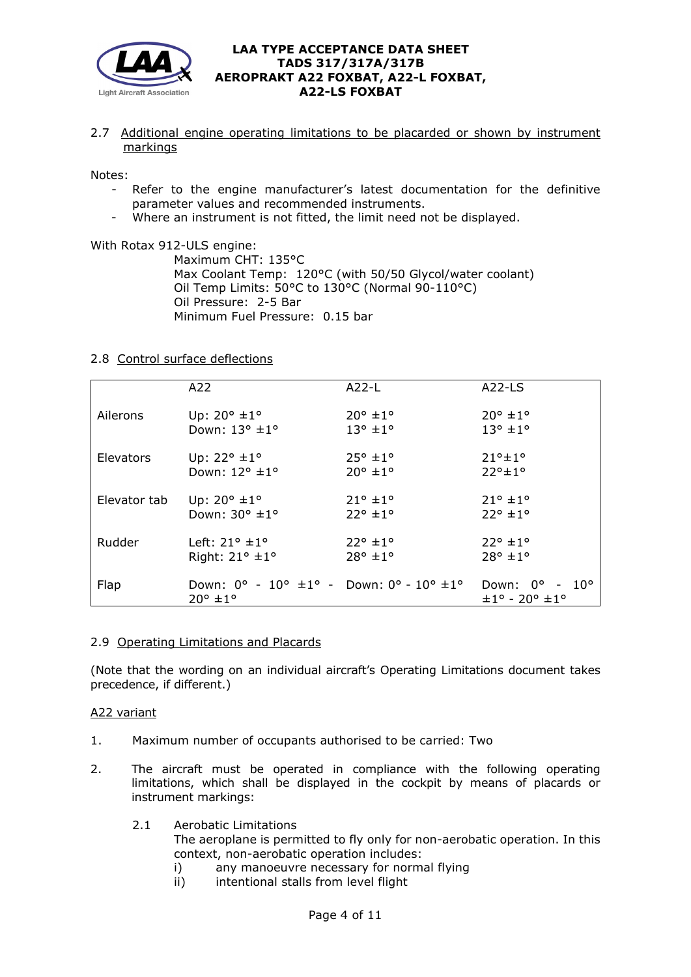

2.7 Additional engine operating limitations to be placarded or shown by instrument markings

Notes:

- Refer to the engine manufacturer's latest documentation for the definitive parameter values and recommended instruments.
- Where an instrument is not fitted, the limit need not be displayed.

With Rotax 912-ULS engine:

Maximum CHT: 135°C Max Coolant Temp: 120°C (with 50/50 Glycol/water coolant) Oil Temp Limits: 50°C to 130°C (Normal 90-110°C) Oil Pressure: 2-5 Bar Minimum Fuel Pressure: 0.15 bar

## 2.8 Control surface deflections

|              | A22                                                                                                                     | $A22-L$          | $A22-LS$                                                |
|--------------|-------------------------------------------------------------------------------------------------------------------------|------------------|---------------------------------------------------------|
| Ailerons     | Up: $20^{\circ}$ ±1°                                                                                                    | $20^{\circ}$ ±1° | $20^{\circ}$ ±1°                                        |
|              | Down: 13° ±1°                                                                                                           | $13^{\circ}$ ±1° | $13^{\circ}$ ± 1 $^{\circ}$                             |
| Elevators    | Up: $22^{\circ}$ ±1°                                                                                                    | $25^{\circ}$ ±1° | $71°+1°$                                                |
|              | Down: 12° ±1°                                                                                                           | $20^{\circ}$ ±1° | $22°+1°$                                                |
| Elevator tab | Up: $20^{\circ}$ ±1°                                                                                                    | $21^{\circ}$ ±1° | $21^{\circ}$ ±1°                                        |
|              | Down: 30° ±1°                                                                                                           | $22^{\circ}$ ±1° | $22^{\circ}$ ±1°                                        |
| Rudder       | Left: $21^\circ \pm 1^\circ$                                                                                            | $22^{\circ}$ ±1° | $22^{\circ}$ ±1°                                        |
|              | Right: $21^\circ \pm 1^\circ$                                                                                           | $28^{\circ}$ ±1° | $28^{\circ}$ ±1°                                        |
| Flap         | Down: $0^{\circ}$ - $10^{\circ}$ $\pm 1^{\circ}$ - Down: $0^{\circ}$ - $10^{\circ}$ $\pm 1^{\circ}$<br>$20^{\circ}$ ±1° |                  | Down: 0° - 10°<br>$\pm 1^{\circ}$ - 20° $\pm 1^{\circ}$ |

#### 2.9 Operating Limitations and Placards

(Note that the wording on an individual aircraft's Operating Limitations document takes precedence, if different.)

#### A22 variant

- 1. Maximum number of occupants authorised to be carried: Two
- 2. The aircraft must be operated in compliance with the following operating limitations, which shall be displayed in the cockpit by means of placards or instrument markings:
	- 2.1 Aerobatic Limitations

The aeroplane is permitted to fly only for non-aerobatic operation. In this context, non-aerobatic operation includes:

- i) any manoeuvre necessary for normal flying
- ii) intentional stalls from level flight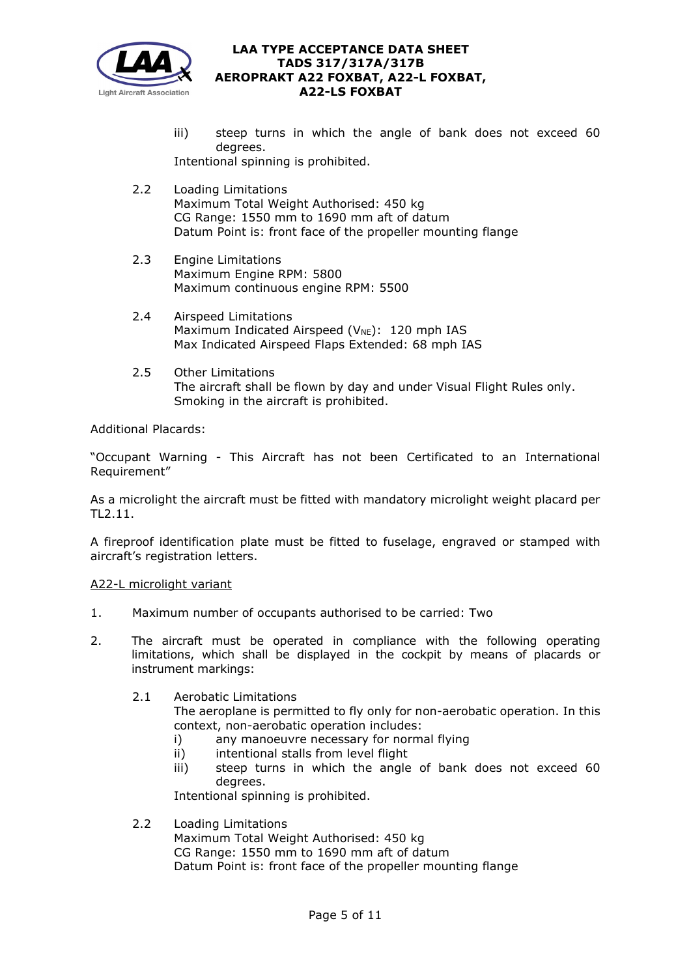

- iii) steep turns in which the angle of bank does not exceed 60 degrees. Intentional spinning is prohibited.
- 2.2 Loading Limitations Maximum Total Weight Authorised: 450 kg CG Range: 1550 mm to 1690 mm aft of datum Datum Point is: front face of the propeller mounting flange
- 2.3 Engine Limitations Maximum Engine RPM: 5800 Maximum continuous engine RPM: 5500
- 2.4 Airspeed Limitations Maximum Indicated Airspeed ( $V_{NE}$ ): 120 mph IAS Max Indicated Airspeed Flaps Extended: 68 mph IAS
- 2.5 Other Limitations The aircraft shall be flown by day and under Visual Flight Rules only. Smoking in the aircraft is prohibited.

Additional Placards:

"Occupant Warning - This Aircraft has not been Certificated to an International Requirement"

As a microlight the aircraft must be fitted with mandatory microlight weight placard per TL2.11.

A fireproof identification plate must be fitted to fuselage, engraved or stamped with aircraft's registration letters.

## A22-L microlight variant

- 1. Maximum number of occupants authorised to be carried: Two
- 2. The aircraft must be operated in compliance with the following operating limitations, which shall be displayed in the cockpit by means of placards or instrument markings:

## 2.1 Aerobatic Limitations

The aeroplane is permitted to fly only for non-aerobatic operation. In this context, non-aerobatic operation includes:

- i) any manoeuvre necessary for normal flying
- ii) intentional stalls from level flight
- iii) steep turns in which the angle of bank does not exceed 60 degrees.

Intentional spinning is prohibited.

## 2.2 Loading Limitations

Maximum Total Weight Authorised: 450 kg CG Range: 1550 mm to 1690 mm aft of datum Datum Point is: front face of the propeller mounting flange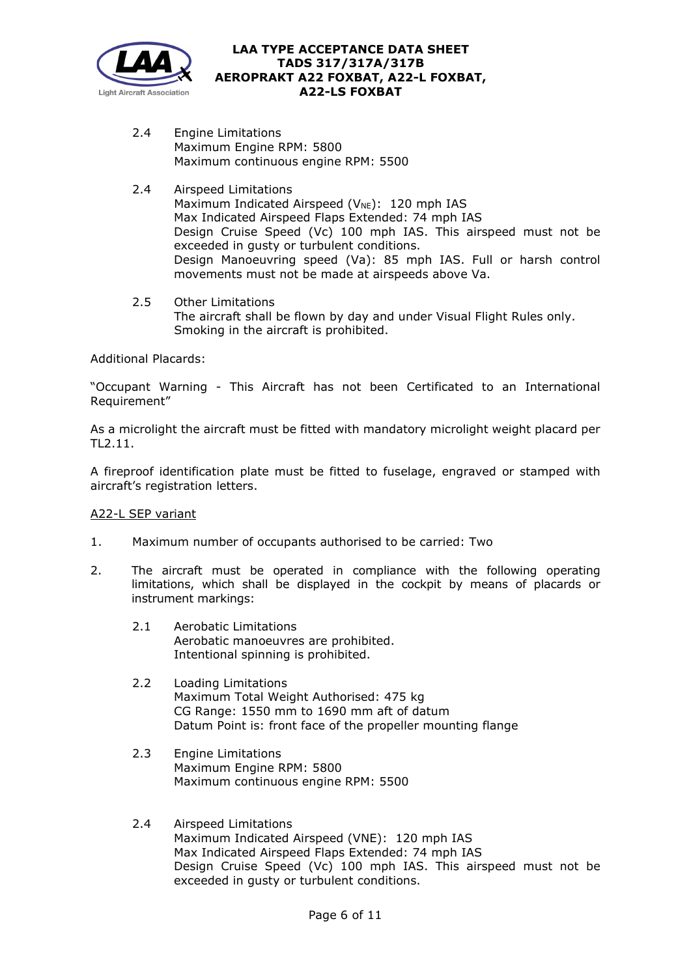

- 2.4 Engine Limitations Maximum Engine RPM: 5800 Maximum continuous engine RPM: 5500
- 2.4 Airspeed Limitations Maximum Indicated Airspeed ( $V_{NE}$ ): 120 mph IAS Max Indicated Airspeed Flaps Extended: 74 mph IAS Design Cruise Speed (Vc) 100 mph IAS. This airspeed must not be exceeded in gusty or turbulent conditions. Design Manoeuvring speed (Va): 85 mph IAS. Full or harsh control movements must not be made at airspeeds above Va.
- 2.5 Other Limitations The aircraft shall be flown by day and under Visual Flight Rules only. Smoking in the aircraft is prohibited.

Additional Placards:

"Occupant Warning - This Aircraft has not been Certificated to an International Requirement"

As a microlight the aircraft must be fitted with mandatory microlight weight placard per TL2.11.

A fireproof identification plate must be fitted to fuselage, engraved or stamped with aircraft's registration letters.

## A22-L SEP variant

- 1. Maximum number of occupants authorised to be carried: Two
- 2. The aircraft must be operated in compliance with the following operating limitations, which shall be displayed in the cockpit by means of placards or instrument markings:
	- 2.1 Aerobatic Limitations Aerobatic manoeuvres are prohibited. Intentional spinning is prohibited.
	- 2.2 Loading Limitations Maximum Total Weight Authorised: 475 kg CG Range: 1550 mm to 1690 mm aft of datum Datum Point is: front face of the propeller mounting flange
	- 2.3 Engine Limitations Maximum Engine RPM: 5800 Maximum continuous engine RPM: 5500
	- 2.4 Airspeed Limitations Maximum Indicated Airspeed (VNE): 120 mph IAS Max Indicated Airspeed Flaps Extended: 74 mph IAS Design Cruise Speed (Vc) 100 mph IAS. This airspeed must not be exceeded in gusty or turbulent conditions.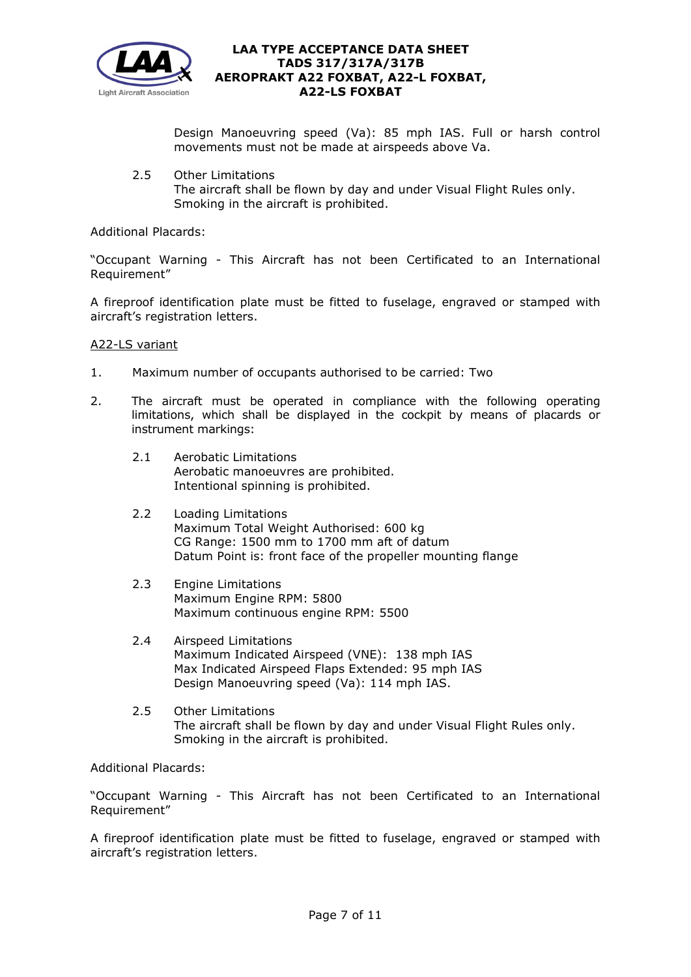

Design Manoeuvring speed (Va): 85 mph IAS. Full or harsh control movements must not be made at airspeeds above Va.

2.5 Other Limitations The aircraft shall be flown by day and under Visual Flight Rules only. Smoking in the aircraft is prohibited.

Additional Placards:

"Occupant Warning - This Aircraft has not been Certificated to an International Requirement"

A fireproof identification plate must be fitted to fuselage, engraved or stamped with aircraft's registration letters.

#### A22-LS variant

- 1. Maximum number of occupants authorised to be carried: Two
- 2. The aircraft must be operated in compliance with the following operating limitations, which shall be displayed in the cockpit by means of placards or instrument markings:
	- 2.1 Aerobatic Limitations Aerobatic manoeuvres are prohibited. Intentional spinning is prohibited.
	- 2.2 Loading Limitations Maximum Total Weight Authorised: 600 kg CG Range: 1500 mm to 1700 mm aft of datum Datum Point is: front face of the propeller mounting flange
	- 2.3 Engine Limitations Maximum Engine RPM: 5800 Maximum continuous engine RPM: 5500
	- 2.4 Airspeed Limitations Maximum Indicated Airspeed (VNE): 138 mph IAS Max Indicated Airspeed Flaps Extended: 95 mph IAS Design Manoeuvring speed (Va): 114 mph IAS.
	- 2.5 Other Limitations The aircraft shall be flown by day and under Visual Flight Rules only. Smoking in the aircraft is prohibited.

Additional Placards:

"Occupant Warning - This Aircraft has not been Certificated to an International Requirement"

A fireproof identification plate must be fitted to fuselage, engraved or stamped with aircraft's registration letters.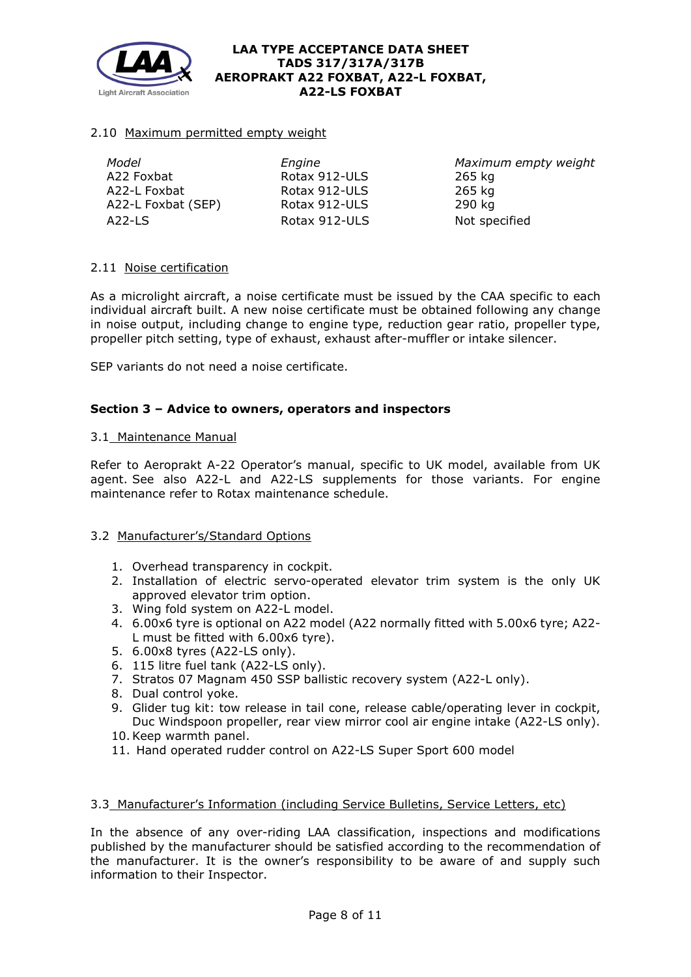

## 2.10 Maximum permitted empty weight

| Model              | Engine        | Maxim  |
|--------------------|---------------|--------|
| A22 Foxbat         | Rotax 912-ULS | 265 kg |
| A22-L Foxbat       | Rotax 912-ULS | 265 kg |
|                    |               |        |
| A22-L Foxbat (SEP) | Rotax 912-ULS | 290 kg |
| $A22-LS$           | Rotax 912-ULS | Not sp |

*Model Engine Maximum empty weight* Not specified

## 2.11 Noise certification

As a microlight aircraft, a noise certificate must be issued by the CAA specific to each individual aircraft built. A new noise certificate must be obtained following any change in noise output, including change to engine type, reduction gear ratio, propeller type, propeller pitch setting, type of exhaust, exhaust after-muffler or intake silencer.

SEP variants do not need a noise certificate.

## **Section 3 – Advice to owners, operators and inspectors**

## 3.1 Maintenance Manual

Refer to Aeroprakt A-22 Operator's manual, specific to UK model, available from UK agent. See also A22-L and A22-LS supplements for those variants. For engine maintenance refer to Rotax maintenance schedule.

## 3.2 Manufacturer's/Standard Options

- 1. Overhead transparency in cockpit.
- 2. Installation of electric servo-operated elevator trim system is the only UK approved elevator trim option.
- 3. Wing fold system on A22-L model.
- 4. 6.00x6 tyre is optional on A22 model (A22 normally fitted with 5.00x6 tyre; A22- L must be fitted with 6.00x6 tyre).
- 5. 6.00x8 tyres (A22-LS only).
- 6. 115 litre fuel tank (A22-LS only).
- 7. Stratos 07 Magnam 450 SSP ballistic recovery system (A22-L only).
- 8. Dual control yoke.
- 9. Glider tug kit: tow release in tail cone, release cable/operating lever in cockpit, Duc Windspoon propeller, rear view mirror cool air engine intake (A22-LS only).
- 10.Keep warmth panel.
- 11. Hand operated rudder control on A22-LS Super Sport 600 model

## 3.3 Manufacturer's Information (including Service Bulletins, Service Letters, etc)

In the absence of any over-riding LAA classification, inspections and modifications published by the manufacturer should be satisfied according to the recommendation of the manufacturer. It is the owner's responsibility to be aware of and supply such information to their Inspector.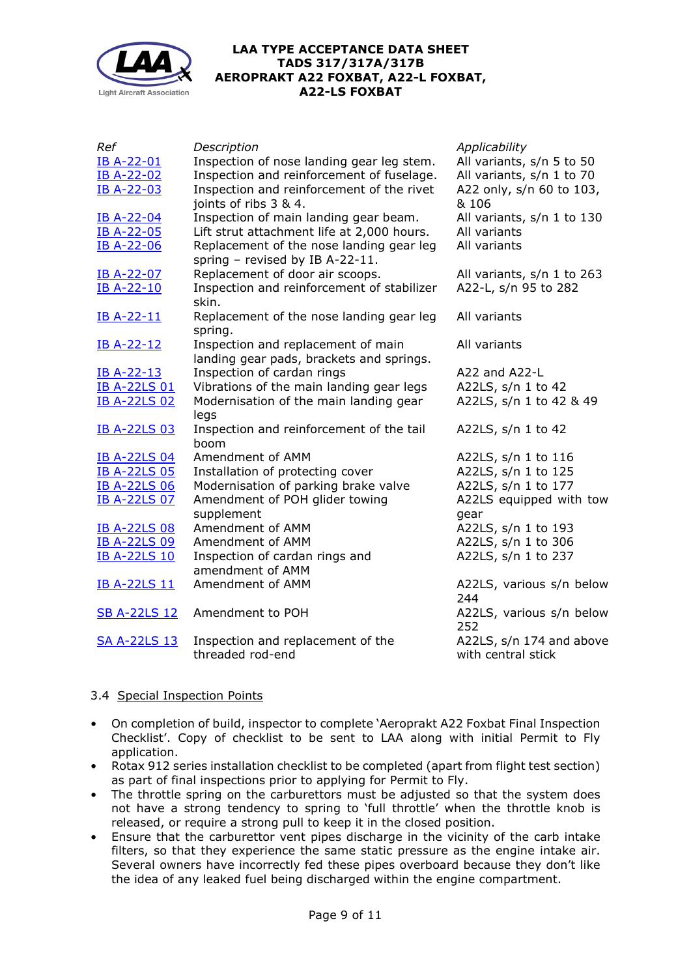

| Ref                 | Description                                        | Applicability              |
|---------------------|----------------------------------------------------|----------------------------|
| <b>IB A-22-01</b>   | Inspection of nose landing gear leg stem.          | All variants, s/n 5 to 50  |
| <b>IB A-22-02</b>   | Inspection and reinforcement of fuselage.          | All variants, s/n 1 to 70  |
| IB A-22-03          | Inspection and reinforcement of the rivet          | A22 only, s/n 60 to 103,   |
|                     | joints of ribs 3 & 4.                              | & 106                      |
| <b>IB A-22-04</b>   | Inspection of main landing gear beam.              | All variants, s/n 1 to 130 |
| <b>IB A-22-05</b>   | Lift strut attachment life at 2,000 hours.         | All variants               |
| IB A-22-06          | Replacement of the nose landing gear leg           | All variants               |
|                     | spring $-$ revised by IB A-22-11.                  |                            |
| IB A-22-07          | Replacement of door air scoops.                    | All variants, s/n 1 to 263 |
| <b>IB A-22-10</b>   | Inspection and reinforcement of stabilizer         | A22-L, s/n 95 to 282       |
|                     | skin.                                              |                            |
| <b>IB A-22-11</b>   | Replacement of the nose landing gear leg           | All variants               |
|                     | spring.                                            |                            |
| IB A-22-12          | Inspection and replacement of main                 | All variants               |
|                     | landing gear pads, brackets and springs.           |                            |
| IB A-22-13          | Inspection of cardan rings                         | $A22$ and $A22-L$          |
| <b>IB A-22LS 01</b> | Vibrations of the main landing gear legs           | A22LS, s/n 1 to 42         |
| <b>IB A-22LS 02</b> | Modernisation of the main landing gear             | A22LS, s/n 1 to 42 & 49    |
|                     | legs                                               |                            |
| <b>IB A-22LS 03</b> | Inspection and reinforcement of the tail           | A22LS, s/n 1 to 42         |
|                     | boom                                               |                            |
| <b>IB A-22LS 04</b> | Amendment of AMM                                   | A22LS, s/n 1 to 116        |
| <b>IB A-22LS 05</b> | Installation of protecting cover                   | A22LS, s/n 1 to 125        |
| <b>IB A-22LS 06</b> | Modernisation of parking brake valve               | A22LS, s/n 1 to 177        |
| <b>IB A-22LS 07</b> | Amendment of POH glider towing                     | A22LS equipped with tow    |
|                     | supplement<br>Amendment of AMM                     | gear                       |
| <b>IB A-22LS 08</b> | Amendment of AMM                                   | A22LS, s/n 1 to 193        |
| <b>IB A-22LS 09</b> |                                                    | A22LS, s/n 1 to 306        |
| <b>IB A-22LS 10</b> | Inspection of cardan rings and<br>amendment of AMM | A22LS, s/n 1 to 237        |
| <b>IB A-22LS 11</b> | Amendment of AMM                                   | A22LS, various s/n below   |
|                     |                                                    | 244                        |
| <b>SB A-22LS 12</b> | Amendment to POH                                   | A22LS, various s/n below   |
|                     |                                                    | 252                        |
| <b>SA A-22LS 13</b> | Inspection and replacement of the                  | A22LS, s/n 174 and above   |
|                     | threaded rod-end                                   | with central stick         |
|                     |                                                    |                            |

# 3.4 Special Inspection Points

- On completion of build, inspector to complete 'Aeroprakt A22 Foxbat Final Inspection Checklist'. Copy of checklist to be sent to LAA along with initial Permit to Fly application.
- Rotax 912 series installation checklist to be completed (apart from flight test section) as part of final inspections prior to applying for Permit to Fly.
- The throttle spring on the carburettors must be adjusted so that the system does not have a strong tendency to spring to 'full throttle' when the throttle knob is released, or require a strong pull to keep it in the closed position.
- Ensure that the carburettor vent pipes discharge in the vicinity of the carb intake filters, so that they experience the same static pressure as the engine intake air. Several owners have incorrectly fed these pipes overboard because they don't like the idea of any leaked fuel being discharged within the engine compartment.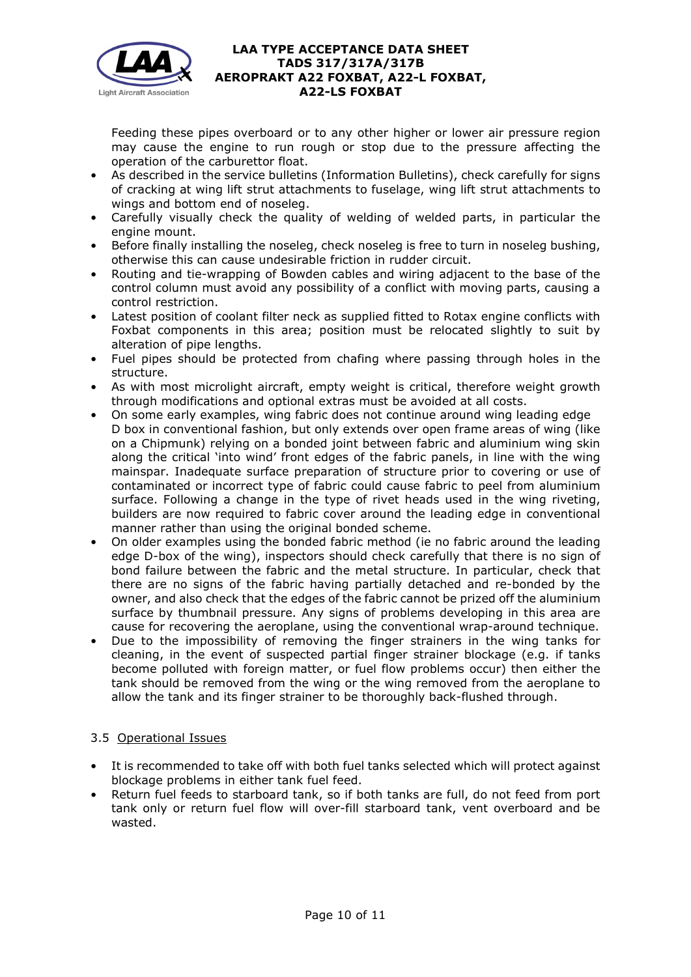

Feeding these pipes overboard or to any other higher or lower air pressure region may cause the engine to run rough or stop due to the pressure affecting the operation of the carburettor float.

- As described in the service bulletins (Information Bulletins), check carefully for signs of cracking at wing lift strut attachments to fuselage, wing lift strut attachments to wings and bottom end of noseleg.
- Carefully visually check the quality of welding of welded parts, in particular the engine mount.
- Before finally installing the noseleg, check noseleg is free to turn in noseleg bushing, otherwise this can cause undesirable friction in rudder circuit.
- Routing and tie-wrapping of Bowden cables and wiring adjacent to the base of the control column must avoid any possibility of a conflict with moving parts, causing a control restriction.
- Latest position of coolant filter neck as supplied fitted to Rotax engine conflicts with Foxbat components in this area; position must be relocated slightly to suit by alteration of pipe lengths.
- Fuel pipes should be protected from chafing where passing through holes in the structure.
- As with most microlight aircraft, empty weight is critical, therefore weight growth through modifications and optional extras must be avoided at all costs.
- On some early examples, wing fabric does not continue around wing leading edge D box in conventional fashion, but only extends over open frame areas of wing (like on a Chipmunk) relying on a bonded joint between fabric and aluminium wing skin along the critical 'into wind' front edges of the fabric panels, in line with the wing mainspar. Inadequate surface preparation of structure prior to covering or use of contaminated or incorrect type of fabric could cause fabric to peel from aluminium surface. Following a change in the type of rivet heads used in the wing riveting, builders are now required to fabric cover around the leading edge in conventional manner rather than using the original bonded scheme.
- On older examples using the bonded fabric method (ie no fabric around the leading edge D-box of the wing), inspectors should check carefully that there is no sign of bond failure between the fabric and the metal structure. In particular, check that there are no signs of the fabric having partially detached and re-bonded by the owner, and also check that the edges of the fabric cannot be prized off the aluminium surface by thumbnail pressure. Any signs of problems developing in this area are cause for recovering the aeroplane, using the conventional wrap-around technique.
- Due to the impossibility of removing the finger strainers in the wing tanks for cleaning, in the event of suspected partial finger strainer blockage (e.g. if tanks become polluted with foreign matter, or fuel flow problems occur) then either the tank should be removed from the wing or the wing removed from the aeroplane to allow the tank and its finger strainer to be thoroughly back-flushed through.

# 3.5 Operational Issues

- It is recommended to take off with both fuel tanks selected which will protect against blockage problems in either tank fuel feed.
- Return fuel feeds to starboard tank, so if both tanks are full, do not feed from port tank only or return fuel flow will over-fill starboard tank, vent overboard and be wasted.